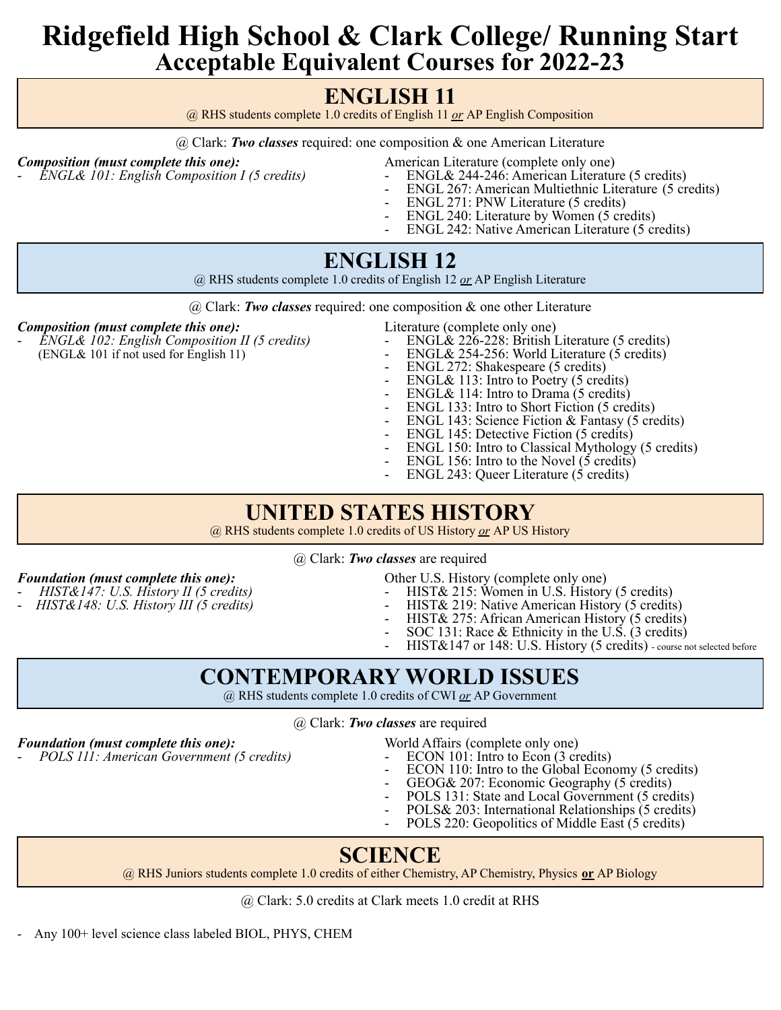# **Ridgefield High School & Clark College/ Running Start Acceptable Equivalent Courses for 2022-23**

## **ENGLISH 11**

@ RHS students complete 1.0 credits of English 11 *or* AP English Composition

@ Clark: *Two classes* required: one composition & one American Literature

- **Composition (must complete this one):**<br>
American Literature (complete only one)<br>
American Literature (complete only one)<br>
American Literature (complete only one)<br>
American Literature (complete only one)
	- *ENGL& 101: English Composition I (5 credits)* ENGL& 244-246: American Literature (5 credits)
	- ENGL 267: American Multiethnic Literature (5 credits)
	- ENGL 271: PNW Literature (5 credits)
	- ENGL 240: Literature by Women (5 credits)
	- ENGL 242: Native American Literature (5 credits)

#### **ENGLISH 12**

@ RHS students complete 1.0 credits of English 12 *or* AP English Literature

@ Clark: *Two classes* required: one composition & one other Literature

- *Composition (must complete this one):*<br>
Filterature (complete only one)<br>
Literature (5 credits) **ENGL&** 226-228: British Literature (5 credits) - *ENGL& 102: English Composition II (5 credits)* - ENGL& 226-228: British Literature (5 credits)
- -
	- (ENGL& 101 if not used for English 11) ENGL& 254-256: World Literature (5 credits)
		- ENGL 272: Shakespeare (5 credits)
		- ENGL& 113: Intro to Poetry (5 credits)
		- ENGL& 114: Intro to Drama (5 credits)
		- ENGL 133: Intro to Short Fiction (5 credits)
		- ENGL 143: Science Fiction & Fantasy (5 credits)
		- ENGL 145: Detective Fiction (5 credits)
		- ENGL 150: Intro to Classical Mythology (5 credits)
		- ENGL 156: Intro to the Novel  $(5 \text{ credits})$
		- ENGL 243: Queer Literature (5 credits)

#### **UNITED STATES HISTORY**

@ RHS students complete 1.0 credits of US History *or* AP US History

@ Clark: *Two classes* are required

- 
- 
- *Foundation* (*must complete this one*):  $\qquad \qquad$  Other U.S. History (complete only one)
	- *HIST&147: U.S. History II (5 credits)* HIST& 215: Women in U.S. History (5 credits)
	- *HIST&148: U.S. History III (5 credits)* HIST& 219: Native American History (5 credits)
		- HIST& 275: African American History (5 credits)
		- SOC 131: Race  $\&$  Ethnicity in the U.S. (3 credits)
		- HIST&147 or 148: U.S. History (5 credits) course not selected before

#### **CONTEMPORARY WORLD ISSUES**

@ RHS students complete 1.0 credits of CWI *or* AP Government

@ Clark: *Two classes* are required

- *Foundation (must complete this one):* World Affairs (complete only one) *POLS 111: American Government* (5 *credits*)
- -
	- ECON 110: Intro to the Global Economy (5 credits)
	- GEOG& 207: Economic Geography (5 credits)
	- POLS 131: State and Local Government (5 credits)
	- POLS& 203: International Relationships (5 credits)
	- POLS 220: Geopolitics of Middle East (5 credits)

## **SCIENCE**

@ RHS Juniors students complete 1.0 credits of either Chemistry, AP Chemistry, Physics **or** AP Biology

@ Clark: 5.0 credits at Clark meets 1.0 credit at RHS

- Any 100+ level science class labeled BIOL, PHYS, CHEM